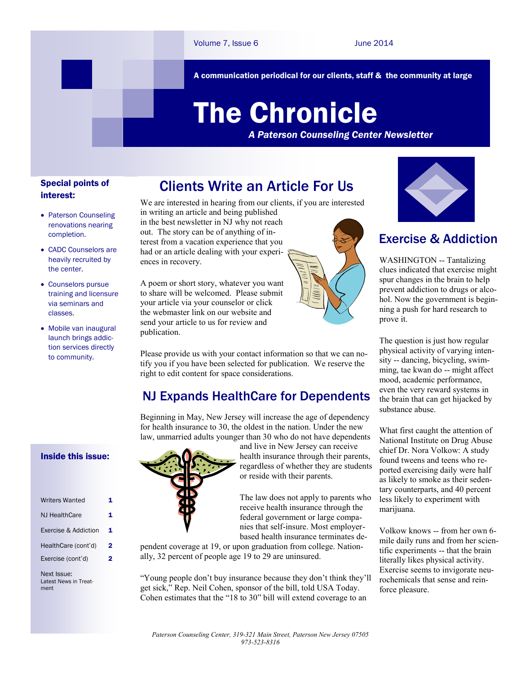A communication periodical for our clients, staff & the community at large

# The Chronicle

*A Paterson Counseling Center Newsletter*

#### Special points of interest:

- Paterson Counseling renovations nearing completion.
- CADC Counselors are heavily recruited by the center.
- Counselors pursue training and licensure via seminars and classes.
- Mobile van inaugural launch brings addiction services directly to community.

Inside this issue:

| <b>Writers Wanted</b> |   |
|-----------------------|---|
| <b>NJ HealthCare</b>  |   |
| Exercise & Addiction  | 1 |
| HealthCare (cont'd)   | 2 |
| Exercise (cont'd)     | 2 |
|                       |   |

Next Issue: Latest News in Treatment

## Clients Write an Article For Us

We are interested in hearing from our clients, if you are interested in writing an article and being published in the best newsletter in NJ why not reach

out. The story can be of anything of interest from a vacation experience that you had or an article dealing with your experiences in recovery.

A poem or short story, whatever you want to share will be welcomed. Please submit your article via your counselor or click the webmaster link on our website and send your article to us for review and publication.

Please provide us with your contact information so that we can notify you if you have been selected for publication. We reserve the right to edit content for space considerations.

## NJ Expands HealthCare for Dependents

Beginning in May, New Jersey will increase the age of dependency for health insurance to 30, the oldest in the nation. Under the new law, unmarried adults younger than 30 who do not have dependents



and live in New Jersey can receive health insurance through their parents, regardless of whether they are students or reside with their parents.

The law does not apply to parents who receive health insurance through the federal government or large companies that self-insure. Most employerbased health insurance terminates de-

pendent coverage at 19, or upon graduation from college. Nationally, 32 percent of people age 19 to 29 are uninsured.

"Young people don't buy insurance because they don't think they'll get sick," Rep. Neil Cohen, sponsor of the bill, told USA Today. Cohen estimates that the "18 to 30" bill will extend coverage to an



## Exercise & Addiction

WASHINGTON -- Tantalizing clues indicated that exercise might spur changes in the brain to help prevent addiction to drugs or alcohol. Now the government is beginning a push for hard research to prove it.

The question is just how regular physical activity of varying intensity -- dancing, bicycling, swimming, tae kwan do -- might affect mood, academic performance, even the very reward systems in the brain that can get hijacked by substance abuse.

What first caught the attention of National Institute on Drug Abuse chief Dr. Nora Volkow: A study found tweens and teens who reported exercising daily were half as likely to smoke as their sedentary counterparts, and 40 percent less likely to experiment with marijuana.

Volkow knows -- from her own 6 mile daily runs and from her scientific experiments -- that the brain literally likes physical activity. Exercise seems to invigorate neurochemicals that sense and reinforce pleasure.